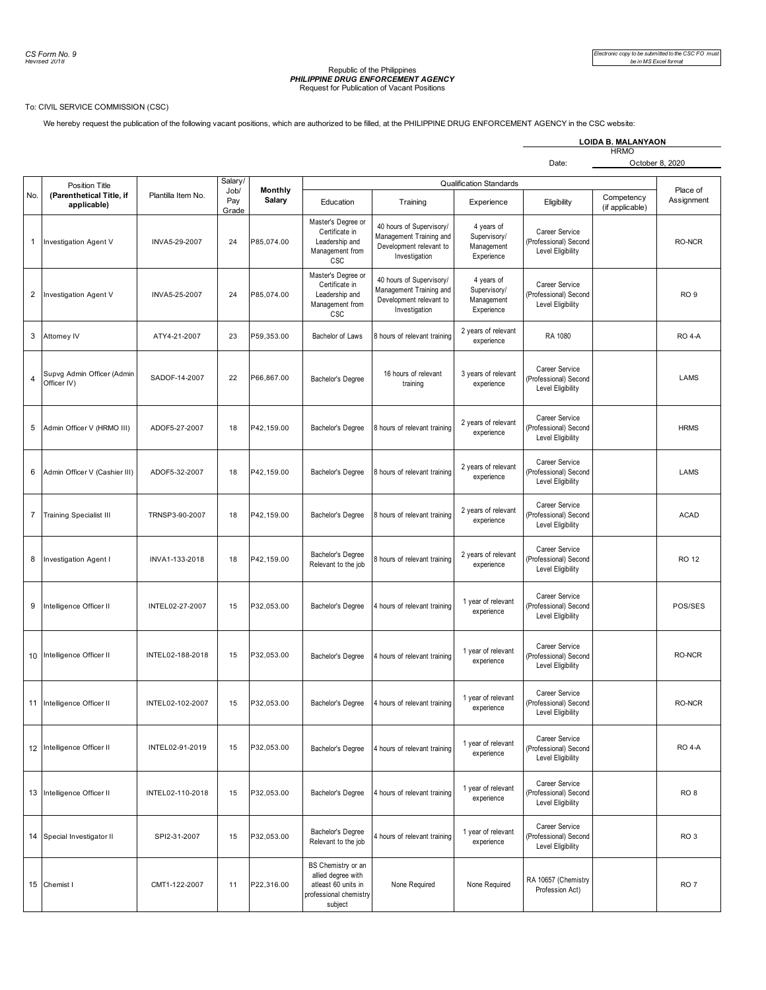## Republic of the Philippines<br>PHILIPPINE DRUG ENFORCEMENT AGENCY Request for Publication of Vacant Positions

To: CIVIL SERVICE COMMISSION (CSC)

We hereby request the publication of the following vacant positions, which are authorized to be filled, at the PHILIPPINE DRUG ENFORCEMENT AGENCY in the CSC website:

## HRMO **LOIDA B. MALANYAON**

Date:

October 8, 2020

|     | <b>Position Title</b>                     |                    | Salary/              |                                 | <b>Qualification Standards</b>                                                                       |                                                                                                 |                                                        |                                                              |                               |                        |
|-----|-------------------------------------------|--------------------|----------------------|---------------------------------|------------------------------------------------------------------------------------------------------|-------------------------------------------------------------------------------------------------|--------------------------------------------------------|--------------------------------------------------------------|-------------------------------|------------------------|
| No. | (Parenthetical Title, if<br>applicable)   | Plantilla Item No. | Job/<br>Pay<br>Grade | <b>Monthly</b><br><b>Salary</b> | Education                                                                                            | Training                                                                                        | Experience                                             | Eligibility                                                  | Competency<br>(if applicable) | Place of<br>Assignment |
| -1  | <b>Investigation Agent V</b>              | INVA5-29-2007      | 24                   | P85,074.00                      | Master's Degree or<br>Certificate in<br>Leadership and<br>Management from<br>CSC                     | 40 hours of Supervisory/<br>Management Training and<br>Development relevant to<br>Investigation | 4 years of<br>Supervisory/<br>Management<br>Experience | Career Service<br>(Professional) Second<br>Level Eligibility |                               | RO-NCR                 |
| 2   | Investigation Agent V                     | INVA5-25-2007      | 24                   | P85,074.00                      | Master's Degree or<br>Certificate in<br>Leadership and<br>Management from<br>CSC                     | 40 hours of Supervisory/<br>Management Training and<br>Development relevant to<br>Investigation | 4 years of<br>Supervisory/<br>Management<br>Experience | Career Service<br>(Professional) Second<br>Level Eligibility |                               | RO <sub>9</sub>        |
| 3   | Attorney IV                               | ATY4-21-2007       | 23                   | P59,353.00                      | Bachelor of Laws                                                                                     | 8 hours of relevant training                                                                    | 2 years of relevant<br>experience                      | RA 1080                                                      |                               | <b>RO 4-A</b>          |
| 4   | Supvg Admin Officer (Admin<br>Officer IV) | SADOF-14-2007      | 22                   | P66,867.00                      | Bachelor's Degree                                                                                    | 16 hours of relevant<br>training                                                                | 3 years of relevant<br>experience                      | Career Service<br>(Professional) Second<br>Level Eligibility |                               | LAMS                   |
| 5   | Admin Officer V (HRMO III)                | ADOF5-27-2007      | 18                   | P42,159.00                      | Bachelor's Degree                                                                                    | 8 hours of relevant training                                                                    | 2 years of relevant<br>experience                      | Career Service<br>(Professional) Second<br>Level Eligibility |                               | <b>HRMS</b>            |
| 6   | Admin Officer V (Cashier III)             | ADOF5-32-2007      | 18                   | P42,159.00                      | Bachelor's Degree                                                                                    | 8 hours of relevant training                                                                    | 2 years of relevant<br>experience                      | Career Service<br>(Professional) Second<br>Level Eligibility |                               | LAMS                   |
| 7   | <b>Training Specialist III</b>            | TRNSP3-90-2007     | 18                   | P42,159.00                      | Bachelor's Degree                                                                                    | 8 hours of relevant training                                                                    | 2 years of relevant<br>experience                      | Career Service<br>(Professional) Second<br>Level Eligibility |                               | <b>ACAD</b>            |
| 8   | <b>Investigation Agent I</b>              | INVA1-133-2018     | 18                   | P42,159.00                      | Bachelor's Degree<br>Relevant to the job                                                             | 8 hours of relevant training                                                                    | 2 years of relevant<br>experience                      | Career Service<br>(Professional) Second<br>Level Eligibility |                               | <b>RO 12</b>           |
| 9   | Intelligence Officer II                   | INTEL02-27-2007    | 15                   | P32,053.00                      | Bachelor's Degree                                                                                    | 4 hours of relevant training                                                                    | 1 year of relevant<br>experience                       | Career Service<br>(Professional) Second<br>Level Eligibility |                               | POS/SES                |
| 10  | Intelligence Officer II                   | INTEL02-188-2018   | 15                   | P32,053.00                      | Bachelor's Degree                                                                                    | 4 hours of relevant training                                                                    | 1 year of relevant<br>experience                       | Career Service<br>(Professional) Second<br>Level Eligibility |                               | RO-NCR                 |
| 11  | Intelligence Officer II                   | INTEL02-102-2007   | 15                   | P32,053.00                      | Bachelor's Degree                                                                                    | 4 hours of relevant training                                                                    | 1 year of relevant<br>experience                       | Career Service<br>(Professional) Second<br>Level Eligibility |                               | RO-NCR                 |
|     | 12 Intelligence Officer II                | INTEL02-91-2019    | 15                   | P32,053.00                      | Bachelor's Degree                                                                                    | 4 hours of relevant training                                                                    | 1 year of relevant<br>experience                       | Career Service<br>(Professional) Second<br>Level Eligibility |                               | <b>RO 4-A</b>          |
|     | 13 Intelligence Officer II                | INTEL02-110-2018   | 15                   | P32,053.00                      | Bachelor's Degree                                                                                    | 4 hours of relevant training                                                                    | 1 year of relevant<br>experience                       | Career Service<br>(Professional) Second<br>Level Eligibility |                               | RO <sub>8</sub>        |
| 14  | Special Investigator II                   | SPI2-31-2007       | 15                   | P32,053.00                      | Bachelor's Degree<br>Relevant to the job                                                             | 4 hours of relevant training                                                                    | 1 year of relevant<br>experience                       | Career Service<br>(Professional) Second<br>Level Eligibility |                               | RO <sub>3</sub>        |
|     | 15 Chemist I                              | CMT1-122-2007      | 11                   | P22,316.00                      | BS Chemistry or an<br>allied degree with<br>atleast 60 units in<br>professional chemistry<br>subject | None Required                                                                                   | None Required                                          | RA 10657 (Chemistry<br>Profession Act)                       |                               | RO <sub>7</sub>        |